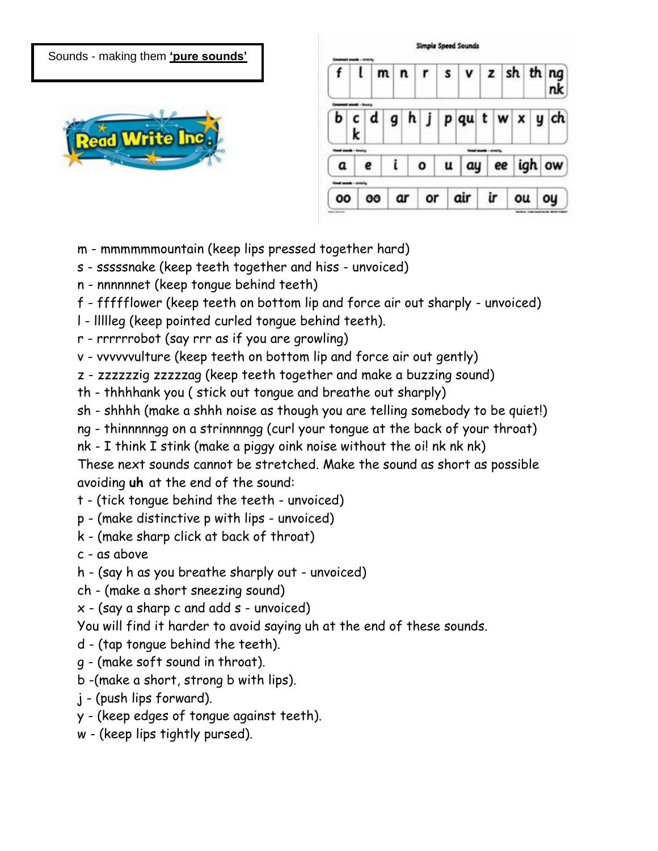Sounds - making them **'pure sounds'**



|    |           | $m \mid n \mid r$ |    |   | v z sh th nq                                                  |    |    |        |
|----|-----------|-------------------|----|---|---------------------------------------------------------------|----|----|--------|
|    | c/d       |                   |    |   | $h \mid j \mid p \mid qu \mid t \mid w \mid x \mid y \mid ch$ |    |    |        |
|    |           |                   |    |   |                                                               |    |    |        |
|    | e         |                   | o  | u | ay                                                            | ee |    | igh ow |
|    |           |                   |    |   |                                                               |    |    |        |
| 00 | <b>OO</b> | ar                | or |   | air                                                           |    | ou |        |

- m mmmmmmountain (keep lips pressed together hard)
- s sssssnake (keep teeth together and hiss unvoiced)
- n nnnnnnet (keep tongue behind teeth)
- f ffffflower (keep teeth on bottom lip and force air out sharply unvoiced)
- l llllleg (keep pointed curled tongue behind teeth).
- r rrrrrrobot (say rrr as if you are growling)
- v vvvvvvulture (keep teeth on bottom lip and force air out gently)
- z zzzzzzig zzzzzag (keep teeth together and make a buzzing sound)
- th thhhhank you ( stick out tongue and breathe out sharply)
- sh shhhh (make a shhh noise as though you are telling somebody to be quiet!)
- ng thinnnnngg on a strinnnngg (curl your tongue at the back of your throat)
- nk I think I stink (make a piggy oink noise without the oi! nk nk nk)

These next sounds cannot be stretched. Make the sound as short as possible avoiding **uh** at the end of the sound:

- t (tick tongue behind the teeth unvoiced)
- p (make distinctive p with lips unvoiced)
- k (make sharp click at back of throat)
- c as above
- h (say h as you breathe sharply out unvoiced)
- ch (make a short sneezing sound)
- $x (say a sharp c and add s unvoiced)$

You will find it harder to avoid saying uh at the end of these sounds.

- d (tap tongue behind the teeth).
- g (make soft sound in throat).
- b -(make a short, strong b with lips).
- j (push lips forward).
- y (keep edges of tongue against teeth).
- w (keep lips tightly pursed).